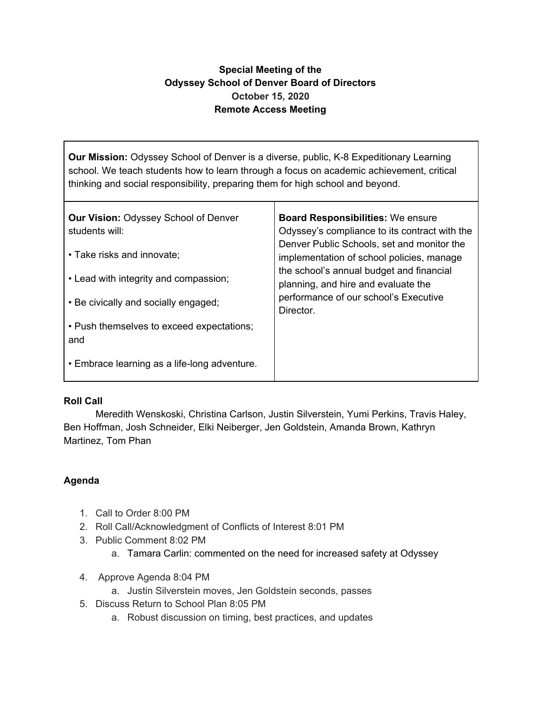## **Special Meeting of the Odyssey School of Denver Board of Directors October 15, 2020 Remote Access Meeting**

**Our Mission:** Odyssey School of Denver is a diverse, public, K-8 Expeditionary Learning school. We teach students how to learn through a focus on academic achievement, critical thinking and social responsibility, preparing them for high school and beyond.

| <b>Our Vision: Odyssey School of Denver</b><br>students will: | <b>Board Responsibilities: We ensure</b><br>Odyssey's compliance to its contract with the<br>Denver Public Schools, set and monitor the<br>implementation of school policies, manage<br>the school's annual budget and financial<br>planning, and hire and evaluate the |
|---------------------------------------------------------------|-------------------------------------------------------------------------------------------------------------------------------------------------------------------------------------------------------------------------------------------------------------------------|
| • Take risks and innovate;                                    |                                                                                                                                                                                                                                                                         |
| • Lead with integrity and compassion;                         |                                                                                                                                                                                                                                                                         |
| • Be civically and socially engaged;                          | performance of our school's Executive<br>Director.                                                                                                                                                                                                                      |
| • Push themselves to exceed expectations;<br>and              |                                                                                                                                                                                                                                                                         |
| • Embrace learning as a life-long adventure.                  |                                                                                                                                                                                                                                                                         |

## **Roll Call**

Meredith Wenskoski, Christina Carlson, Justin Silverstein, Yumi Perkins, Travis Haley, Ben Hoffman, Josh Schneider, Elki Neiberger, Jen Goldstein, Amanda Brown, Kathryn Martinez, Tom Phan

## **Agenda**

- 1. Call to Order 8:00 PM
- 2. Roll Call/Acknowledgment of Conflicts of Interest 8:01 PM
- 3. Public Comment 8:02 PM
	- a. Tamara Carlin: commented on the need for increased safety at Odyssey
- 4. Approve Agenda 8:04 PM
	- a. Justin Silverstein moves, Jen Goldstein seconds, passes
- 5. Discuss Return to School Plan 8:05 PM
	- a. Robust discussion on timing, best practices, and updates